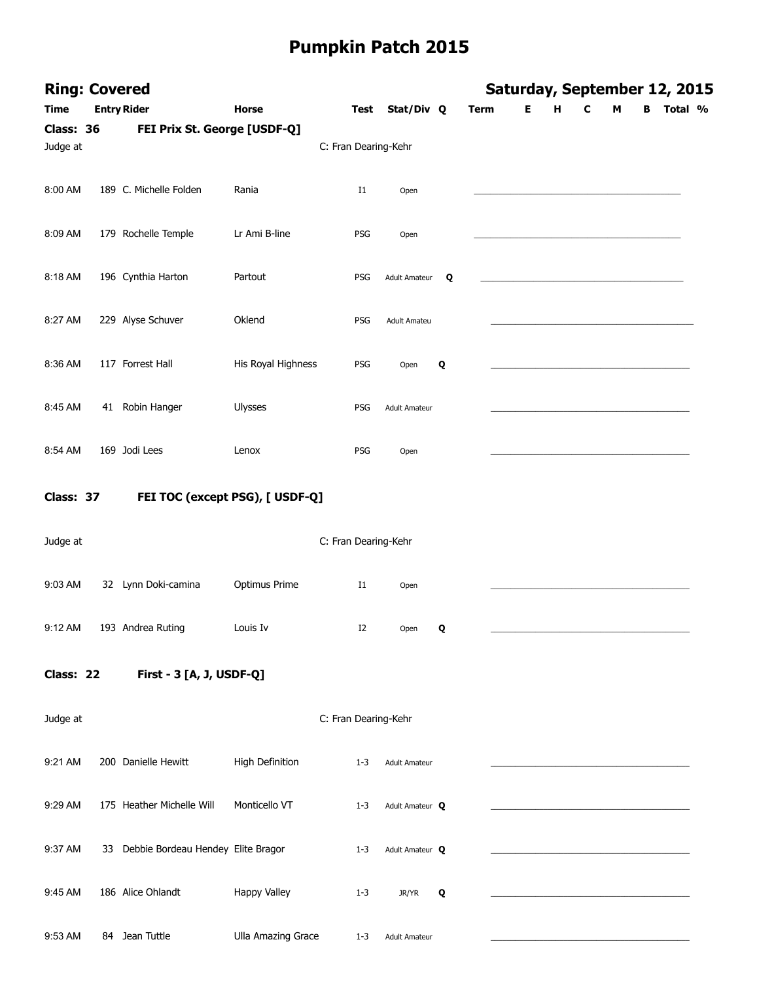| <b>Ring: Covered</b><br><b>Time</b> | <b>Entry Rider</b>                    | Horse                     | Test                 | Stat/Div Q           |   | <b>Term</b> | Е | H | C | М | в | Saturday, September 12, 2015<br>Total % |
|-------------------------------------|---------------------------------------|---------------------------|----------------------|----------------------|---|-------------|---|---|---|---|---|-----------------------------------------|
| Class: 36                           |                                       |                           |                      |                      |   |             |   |   |   |   |   |                                         |
| Judge at                            | FEI Prix St. George [USDF-Q]          |                           | C: Fran Dearing-Kehr |                      |   |             |   |   |   |   |   |                                         |
| 8:00 AM                             | 189 C. Michelle Folden                | Rania                     | $_{\rm I1}$          | Open                 |   |             |   |   |   |   |   |                                         |
| 8:09 AM                             | 179 Rochelle Temple                   | Lr Ami B-line             | PSG                  | Open                 |   |             |   |   |   |   |   |                                         |
| 8:18 AM                             | 196 Cynthia Harton                    | Partout                   | PSG                  | Adult Amateur        | Q |             |   |   |   |   |   |                                         |
| 8:27 AM                             | 229 Alyse Schuver                     | Oklend                    | PSG                  | <b>Adult Amateu</b>  |   |             |   |   |   |   |   |                                         |
| 8:36 AM                             | 117 Forrest Hall                      | His Royal Highness        | PSG                  | Open                 | Q |             |   |   |   |   |   |                                         |
| 8:45 AM                             | 41 Robin Hanger                       | Ulysses                   | PSG                  | <b>Adult Amateur</b> |   |             |   |   |   |   |   |                                         |
| 8:54 AM                             | 169 Jodi Lees                         | Lenox                     | PSG                  | Open                 |   |             |   |   |   |   |   |                                         |
| Class: 37                           | FEI TOC (except PSG), [ USDF-Q]       |                           |                      |                      |   |             |   |   |   |   |   |                                         |
| Judge at                            |                                       |                           | C: Fran Dearing-Kehr |                      |   |             |   |   |   |   |   |                                         |
| 9:03 AM                             | 32 Lynn Doki-camina                   | Optimus Prime             | $_{\rm I1}$          | Open                 |   |             |   |   |   |   |   |                                         |
| 9:12 AM                             | 193 Andrea Ruting                     | Louis Iv                  | I2                   | Open <b>Q</b>        |   |             |   |   |   |   |   |                                         |
| Class: 22                           | First - 3 [A, J, USDF-Q]              |                           |                      |                      |   |             |   |   |   |   |   |                                         |
| Judge at                            |                                       |                           | C: Fran Dearing-Kehr |                      |   |             |   |   |   |   |   |                                         |
| 9:21 AM                             | 200 Danielle Hewitt                   | High Definition           | $1 - 3$              | <b>Adult Amateur</b> |   |             |   |   |   |   |   |                                         |
| 9:29 AM                             | 175 Heather Michelle Will             | Monticello VT             | $1 - 3$              | Adult Amateur Q      |   |             |   |   |   |   |   |                                         |
| 9:37 AM                             | 33 Debbie Bordeau Hendey Elite Bragor |                           | $1 - 3$              | Adult Amateur Q      |   |             |   |   |   |   |   |                                         |
| 9:45 AM                             | 186 Alice Ohlandt                     | Happy Valley              | $1 - 3$              | JR/YR                | Q |             |   |   |   |   |   |                                         |
| 9:53 AM                             | 84 Jean Tuttle                        | <b>Ulla Amazing Grace</b> | $1 - 3$              | <b>Adult Amateur</b> |   |             |   |   |   |   |   |                                         |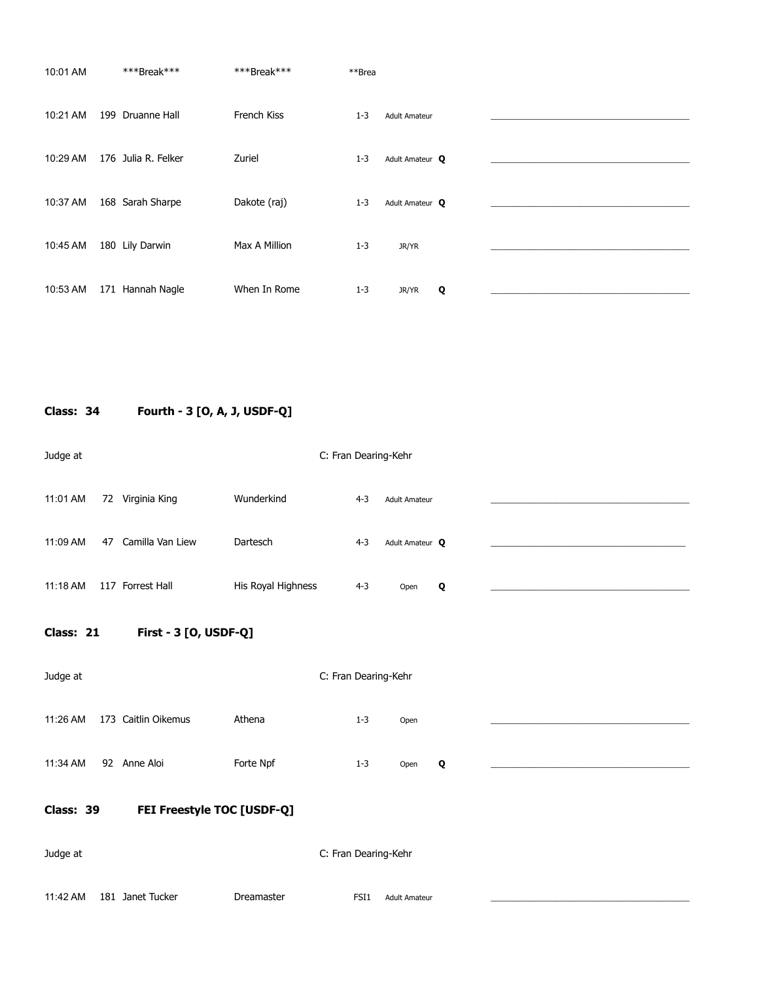| 10:01 AM | ***Break***         | ***Break***   | **Brea  |                      |  |
|----------|---------------------|---------------|---------|----------------------|--|
| 10:21 AM | 199 Druanne Hall    | French Kiss   | $1 - 3$ | <b>Adult Amateur</b> |  |
| 10:29 AM | 176 Julia R. Felker | Zuriel        | $1 - 3$ | Adult Amateur Q      |  |
| 10:37 AM | 168 Sarah Sharpe    | Dakote (raj)  | $1 - 3$ | Adult Amateur Q      |  |
| 10:45 AM | 180 Lily Darwin     | Max A Million | $1 - 3$ | JR/YR                |  |
| 10:53 AM | 171 Hannah Nagle    | When In Rome  | $1 - 3$ | Q<br>JR/YR           |  |

**Class: 34 Fourth - 3 [O, A, J, USDF-Q]** 

| Judge at |                        |                    |         | C: Fran Dearing-Kehr |  |
|----------|------------------------|--------------------|---------|----------------------|--|
| 11:01 AM | Virginia King<br>72    | Wunderkind         | $4 - 3$ | <b>Adult Amateur</b> |  |
| 11:09 AM | Camilla Van Liew<br>47 | Dartesch           | $4 - 3$ | Adult Amateur Q      |  |
| 11:18 AM | 117 Forrest Hall       | His Royal Highness | $4 - 3$ | Q<br>Open            |  |

**Class: 21 First - 3 [O, USDF-Q]** 

| Judge at |    |                     |           | C: Fran Dearing-Kehr |      |   |  |
|----------|----|---------------------|-----------|----------------------|------|---|--|
| 11:26 AM |    | 173 Caitlin Oikemus | Athena    | $1 - 3$              | Open |   |  |
| 11:34 AM | 92 | Anne Aloi           | Forte Npf | $1 - 3$              | Open | Q |  |

**Class: 39 FEI Freestyle TOC [USDF-Q]** 

| Judge at |                  |            | C: Fran Dearing-Kehr                     |  |
|----------|------------------|------------|------------------------------------------|--|
|          |                  |            |                                          |  |
| 11:42 AM | 181 Janet Tucker | Dreamaster | FSI <sub>1</sub><br><b>Adult Amateur</b> |  |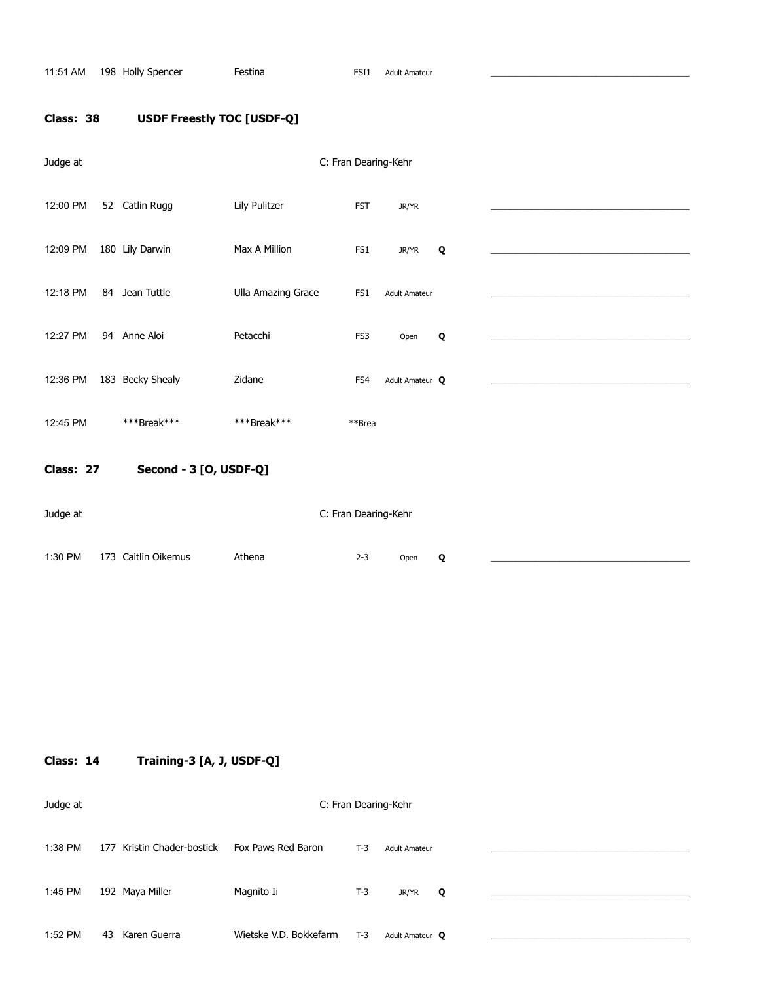11:51 AM 198 Holly Spencer Festina Festina FSI1 Adult Amateur

# **Class: 38 USDF Freestly TOC [USDF-Q]**

| Judge at  |                        |                    | C: Fran Dearing-Kehr |                      |   |  |
|-----------|------------------------|--------------------|----------------------|----------------------|---|--|
| 12:00 PM  | 52 Catlin Rugg         | Lily Pulitzer      | <b>FST</b>           | JR/YR                |   |  |
| 12:09 PM  | 180 Lily Darwin        | Max A Million      | FS1                  | JR/YR                | Q |  |
| 12:18 PM  | 84 Jean Tuttle         | Ulla Amazing Grace | FS1                  | <b>Adult Amateur</b> |   |  |
| 12:27 PM  | 94 Anne Aloi           | Petacchi           | FS3                  | Open                 | Q |  |
| 12:36 PM  | 183 Becky Shealy       | Zidane             | FS4                  | Adult Amateur Q      |   |  |
| 12:45 PM  | ***Break***            | ***Break***        | **Brea               |                      |   |  |
| Class: 27 | Second - 3 [O, USDF-Q] |                    |                      |                      |   |  |
| Judge at  |                        |                    |                      | C: Fran Dearing-Kehr |   |  |
| 1:30 PM   | 173 Caitlin Oikemus    | Athena             | $2 - 3$              | Open                 | Q |  |

**Class: 14 Training-3 [A, J, USDF-Q]** 

| Judge at |                            |                        |       | C: Fran Dearing-Kehr |   |  |
|----------|----------------------------|------------------------|-------|----------------------|---|--|
| 1:38 PM  | 177 Kristin Chader-bostick | Fox Paws Red Baron     | $T-3$ | <b>Adult Amateur</b> |   |  |
| 1:45 PM  | 192 Maya Miller            | Magnito Ii             | $T-3$ | JR/YR                | Q |  |
| 1:52 PM  | Karen Guerra<br>43         | Wietske V.D. Bokkefarm | $T-3$ | Adult Amateur Q      |   |  |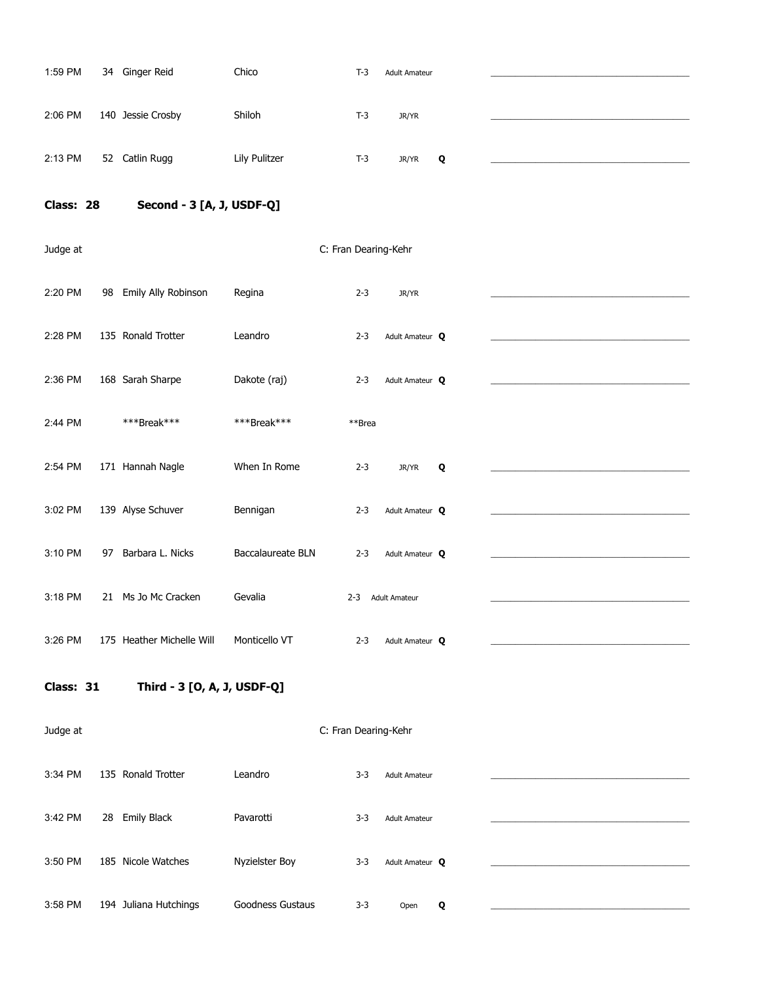| 1:59 PM   | 34 Ginger Reid              | Chico             | $T-3$                | <b>Adult Amateur</b>   |   |  |
|-----------|-----------------------------|-------------------|----------------------|------------------------|---|--|
|           |                             |                   |                      |                        |   |  |
| 2:06 PM   | 140 Jessie Crosby           | Shiloh            | $T-3$                | JR/YR                  |   |  |
| 2:13 PM   | 52 Catlin Rugg              | Lily Pulitzer     | $T-3$                | JR/YR                  | Q |  |
| Class: 28 | Second - 3 [A, J, USDF-Q]   |                   |                      |                        |   |  |
| Judge at  |                             |                   | C: Fran Dearing-Kehr |                        |   |  |
|           |                             |                   |                      |                        |   |  |
| 2:20 PM   | 98 Emily Ally Robinson      | Regina            | $2 - 3$              | JR/YR                  |   |  |
| 2:28 PM   | 135 Ronald Trotter          | Leandro           | $2 - 3$              | Adult Amateur Q        |   |  |
| 2:36 PM   | 168 Sarah Sharpe            | Dakote (raj)      | $2 - 3$              | Adult Amateur Q        |   |  |
| 2:44 PM   | ***Break***                 | ***Break***       | **Brea               |                        |   |  |
|           |                             |                   |                      |                        |   |  |
| 2:54 PM   | 171 Hannah Nagle            | When In Rome      | $2 - 3$              | JR/YR                  | Q |  |
| 3:02 PM   | 139 Alyse Schuver           | Bennigan          | $2 - 3$              | Adult Amateur Q        |   |  |
| 3:10 PM   | 97 Barbara L. Nicks         | Baccalaureate BLN | $2 - 3$              | Adult Amateur Q        |   |  |
| 3:18 PM   | 21 Ms Jo Mc Cracken         | Gevalia           | $2 - 3$              | <b>Adult Amateur</b>   |   |  |
| 3:26 PM   | 175 Heather Michelle Will   | Monticello VT     | $2 - 3$              | Adult Amateur <b>Q</b> |   |  |
|           |                             |                   |                      |                        |   |  |
| Class: 31 | Third - 3 [O, A, J, USDF-Q] |                   |                      |                        |   |  |
| Judge at  |                             |                   | C: Fran Dearing-Kehr |                        |   |  |
| 3:34 PM   | 135 Ronald Trotter          | Leandro           | $3 - 3$              | <b>Adult Amateur</b>   |   |  |
| 3:42 PM   | 28 Emily Black              | Pavarotti         | $3 - 3$              | <b>Adult Amateur</b>   |   |  |
|           |                             |                   |                      |                        |   |  |
| 3:50 PM   | 185 Nicole Watches          | Nyzielster Boy    | $3 - 3$              | Adult Amateur Q        |   |  |
| 3:58 PM   | 194 Juliana Hutchings       | Goodness Gustaus  | $3 - 3$              | Open                   | Q |  |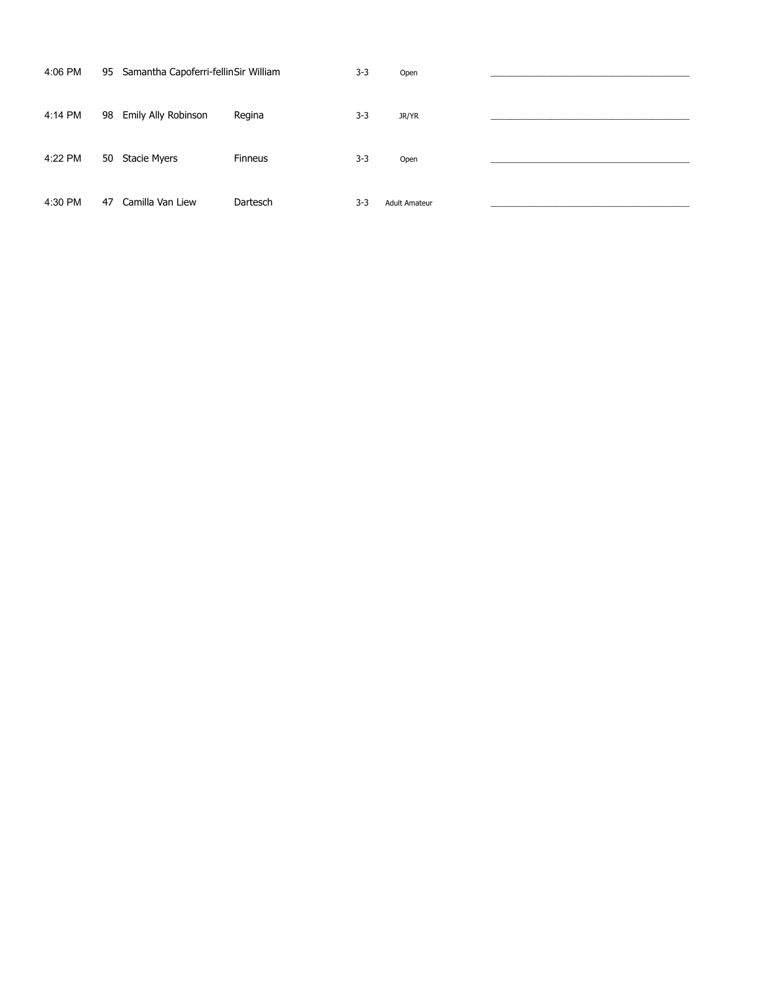| 4:06 PM |    | 95 Samantha Capoferri-fellinSir William |                | $3 - 3$ | Open                 |  |
|---------|----|-----------------------------------------|----------------|---------|----------------------|--|
| 4:14 PM |    | 98 Emily Ally Robinson                  | Regina         | $3 - 3$ | JR/YR                |  |
| 4:22 PM | 50 | Stacie Myers                            | <b>Finneus</b> | $3 - 3$ | Open                 |  |
| 4:30 PM | 47 | Camilla Van Liew                        | Dartesch       | $3 - 3$ | <b>Adult Amateur</b> |  |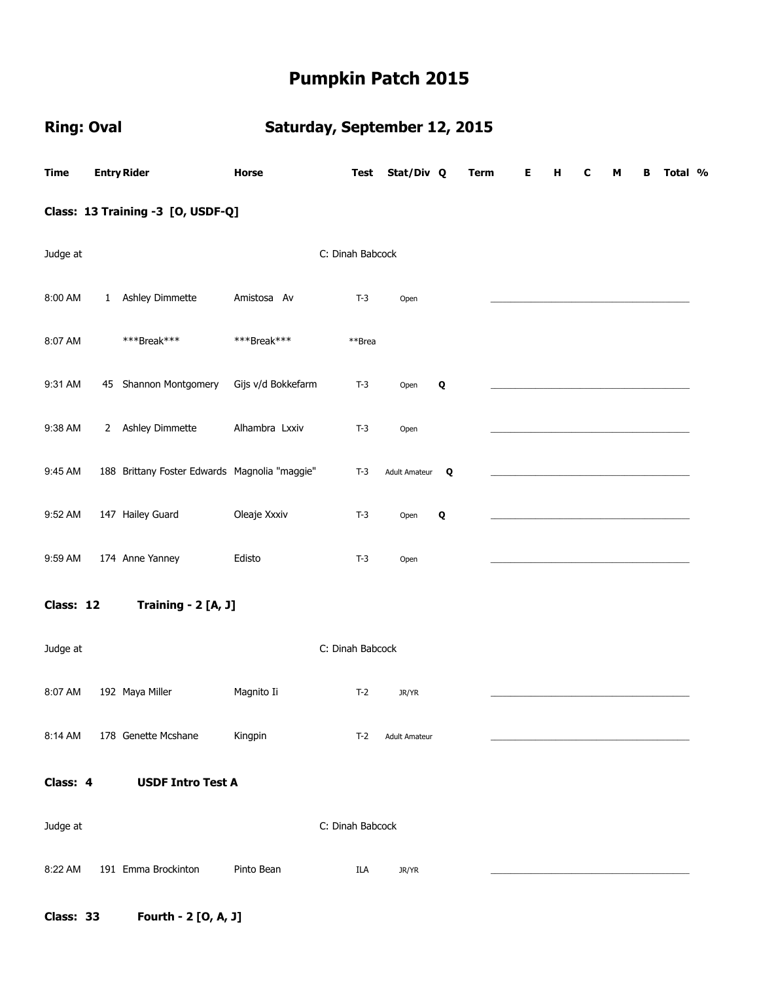# **Ring: Oval Saturday, September 12, 2015**

| <b>Time</b>                       |              | <b>Entry Rider</b>                            | Horse              | Test             | Stat/Div Q           |   | <b>Term</b> |  | Е | н | c | М | в | Total % |  |
|-----------------------------------|--------------|-----------------------------------------------|--------------------|------------------|----------------------|---|-------------|--|---|---|---|---|---|---------|--|
| Class: 13 Training -3 [O, USDF-Q] |              |                                               |                    |                  |                      |   |             |  |   |   |   |   |   |         |  |
| Judge at                          |              |                                               |                    | C: Dinah Babcock |                      |   |             |  |   |   |   |   |   |         |  |
| 8:00 AM                           | $\mathbf{1}$ | Ashley Dimmette                               | Amistosa Av        | $T-3$            | Open                 |   |             |  |   |   |   |   |   |         |  |
| 8:07 AM                           |              | ***Break***                                   | ***Break***        | **Brea           |                      |   |             |  |   |   |   |   |   |         |  |
| 9:31 AM                           |              | 45 Shannon Montgomery                         | Gijs v/d Bokkefarm | $T-3$            | Open                 | Q |             |  |   |   |   |   |   |         |  |
| 9:38 AM                           |              | 2 Ashley Dimmette                             | Alhambra Lxxiv     | $T-3$            | Open                 |   |             |  |   |   |   |   |   |         |  |
| 9:45 AM                           |              | 188 Brittany Foster Edwards Magnolia "maggie" |                    | $T-3$            | <b>Adult Amateur</b> | Q |             |  |   |   |   |   |   |         |  |
| 9:52 AM                           |              | 147 Hailey Guard                              | Oleaje Xxxiv       | $T-3$            | Open                 | Q |             |  |   |   |   |   |   |         |  |
| 9:59 AM                           |              | 174 Anne Yanney                               | Edisto             | $T-3$            | Open                 |   |             |  |   |   |   |   |   |         |  |
| Class: 12                         |              | Training - 2 [A, J]                           |                    |                  |                      |   |             |  |   |   |   |   |   |         |  |
| Judge at                          |              |                                               |                    | C: Dinah Babcock |                      |   |             |  |   |   |   |   |   |         |  |
| 8:07 AM                           |              | 192 Maya Miller                               | Magnito Ii         | $T-2$            | JR/YR                |   |             |  |   |   |   |   |   |         |  |
| 8:14 AM                           |              | 178 Genette Mcshane                           | Kingpin            | T-2              | <b>Adult Amateur</b> |   |             |  |   |   |   |   |   |         |  |
| Class: 4                          |              | <b>USDF Intro Test A</b>                      |                    |                  |                      |   |             |  |   |   |   |   |   |         |  |
| Judge at                          |              |                                               |                    | C: Dinah Babcock |                      |   |             |  |   |   |   |   |   |         |  |
| 8:22 AM                           |              | 191 Emma Brockinton                           | Pinto Bean         | ILA              | JR/YR                |   |             |  |   |   |   |   |   |         |  |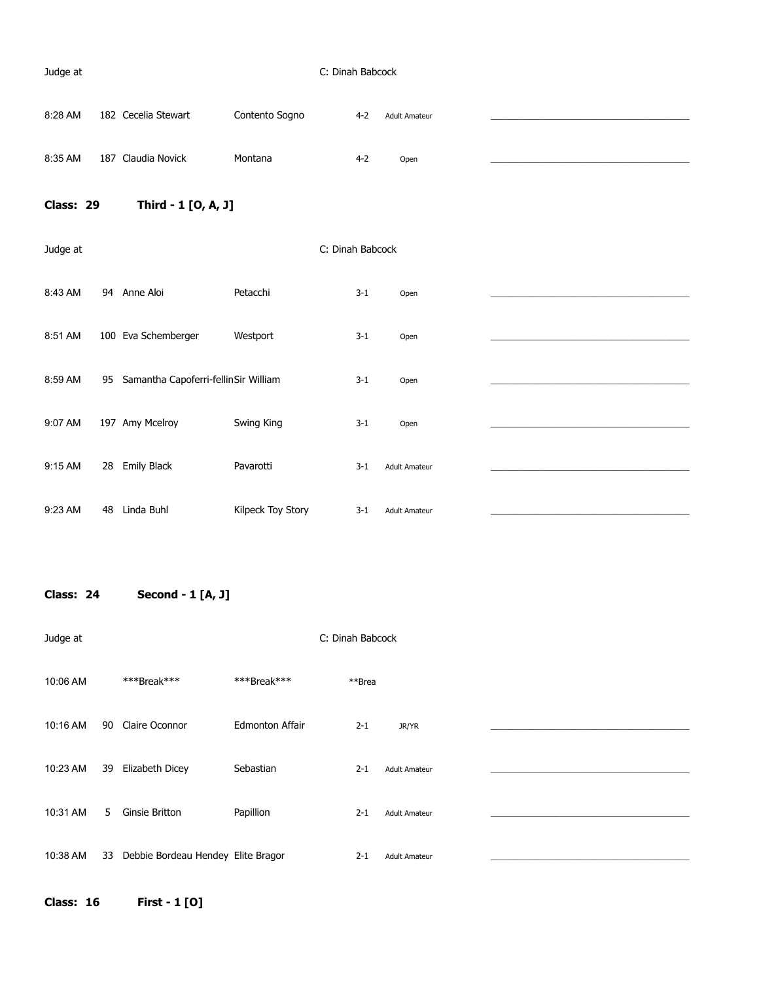### Judge at C: Dinah Babcock

| 8:28 AM | 182 Cecelia Stewart | Contento Sogno | $4-2$ | <b>Adult Amateur</b> |  |
|---------|---------------------|----------------|-------|----------------------|--|
|         |                     |                |       |                      |  |
|         |                     |                |       |                      |  |
| 8:35 AM | 187 Claudia Novick  | Montana        | 4-2   | Open                 |  |

# **Class: 29 Third - 1 [O, A, J]**

| Judge at |                                            |                   | C: Dinah Babcock |                      |  |
|----------|--------------------------------------------|-------------------|------------------|----------------------|--|
| 8:43 AM  | 94<br>Anne Aloi                            | Petacchi          | $3 - 1$          | Open                 |  |
| 8:51 AM  | 100 Eva Schemberger                        | Westport          | $3 - 1$          | Open                 |  |
| 8:59 AM  | Samantha Capoferri-fellinSir William<br>95 |                   | $3 - 1$          | Open                 |  |
| 9:07 AM  | 197 Amy Mcelroy                            | Swing King        | $3 - 1$          | Open                 |  |
| 9:15 AM  | <b>Emily Black</b><br>28                   | Pavarotti         | $3 - 1$          | <b>Adult Amateur</b> |  |
| 9:23 AM  | Linda Buhl<br>48                           | Kilpeck Toy Story | $3 - 1$          | <b>Adult Amateur</b> |  |

**Class: 24 Second - 1 [A, J]** 

| Judge at |    |                                    |                        | C: Dinah Babcock |                      |  |
|----------|----|------------------------------------|------------------------|------------------|----------------------|--|
| 10:06 AM |    | ***Break***                        | ***Break***            | **Brea           |                      |  |
| 10:16 AM | 90 | Claire Oconnor                     | <b>Edmonton Affair</b> | $2 - 1$          | JR/YR                |  |
| 10:23 AM | 39 | Elizabeth Dicey                    | Sebastian              | $2 - 1$          | <b>Adult Amateur</b> |  |
| 10:31 AM | 5  | <b>Ginsie Britton</b>              | Papillion              | $2 - 1$          | <b>Adult Amateur</b> |  |
| 10:38 AM | 33 | Debbie Bordeau Hendey Elite Bragor |                        | $2 - 1$          | <b>Adult Amateur</b> |  |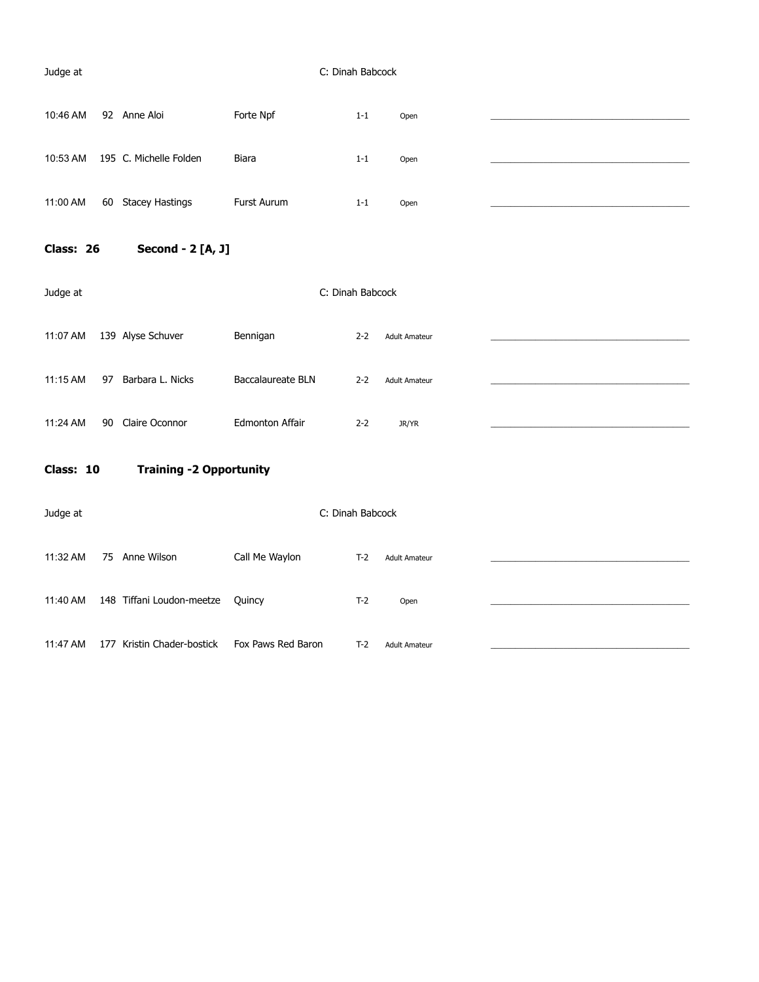#### Judge at C: Dinah Babcock

| 10:46 AM | 92 Anne Aloi           | Forte Npf   | $1 - 1$ | Open |  |
|----------|------------------------|-------------|---------|------|--|
|          |                        |             |         |      |  |
| 10:53 AM | 195 C. Michelle Folden | Biara       | $1 - 1$ | Open |  |
|          |                        |             |         |      |  |
| 11:00 AM | 60 Stacey Hastings     | Furst Aurum | $1 - 1$ | Open |  |
|          |                        |             |         |      |  |

**Class: 26 Second - 2 [A, J]** 

| Judge at   |                        | C: Dinah Babcock       |         |                      |  |
|------------|------------------------|------------------------|---------|----------------------|--|
| 11:07 AM   | 139 Alyse Schuver      | Bennigan               | $2 - 2$ | <b>Adult Amateur</b> |  |
| $11:15$ AM | 97<br>Barbara L. Nicks | Baccalaureate BLN      | $2 - 2$ | <b>Adult Amateur</b> |  |
| 11:24 AM   | Claire Oconnor<br>90   | <b>Edmonton Affair</b> | $2 - 2$ | JR/YR                |  |

**Class: 10 Training -2 Opportunity** 

| Judge at |     |                           |                    | C: Dinah Babcock |                      |  |
|----------|-----|---------------------------|--------------------|------------------|----------------------|--|
| 11:32 AM | 75  | Anne Wilson               | Call Me Waylon     | $T-2$            | <b>Adult Amateur</b> |  |
| 11:40 AM |     | 148 Tiffani Loudon-meetze | Quincy             | $T-2$            | Open                 |  |
| 11:47 AM | 177 | Kristin Chader-bostick    | Fox Paws Red Baron | $T-2$            | <b>Adult Amateur</b> |  |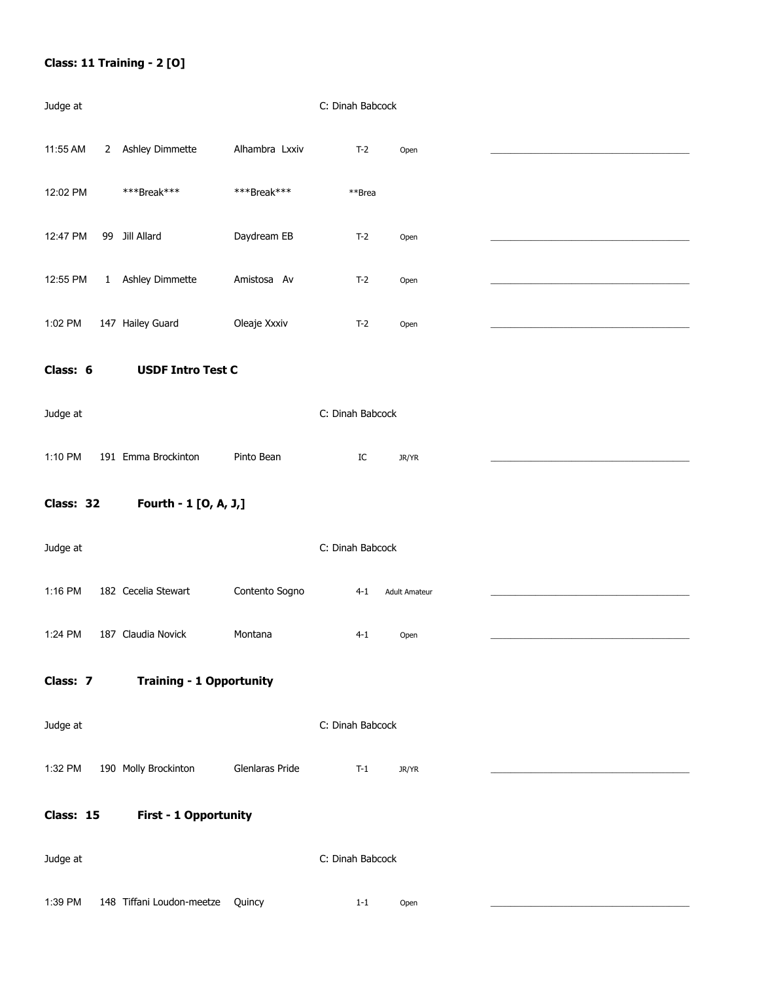# **Class: 11 Training - 2 [O]**

| Judge at  |              |                                 |                 | C: Dinah Babcock |         |                      |  |
|-----------|--------------|---------------------------------|-----------------|------------------|---------|----------------------|--|
| 11:55 AM  | $\mathbf{2}$ | Ashley Dimmette                 | Alhambra Lxxiv  |                  | $T-2$   | Open                 |  |
| 12:02 PM  |              | ***Break***                     | ***Break***     |                  | **Brea  |                      |  |
| 12:47 PM  |              | 99 Jill Allard                  | Daydream EB     |                  | $T-2$   | Open                 |  |
| 12:55 PM  | $\mathbf{1}$ | Ashley Dimmette                 | Amistosa Av     |                  | $T-2$   | Open                 |  |
| 1:02 PM   |              | 147 Hailey Guard                | Oleaje Xxxiv    |                  | $T-2$   | Open                 |  |
| Class: 6  |              | <b>USDF Intro Test C</b>        |                 |                  |         |                      |  |
| Judge at  |              |                                 |                 | C: Dinah Babcock |         |                      |  |
| 1:10 PM   |              | 191 Emma Brockinton             | Pinto Bean      |                  | IC      | JR/YR                |  |
| Class: 32 |              | Fourth - 1 [O, A, J,]           |                 |                  |         |                      |  |
| Judge at  |              |                                 |                 | C: Dinah Babcock |         |                      |  |
| 1:16 PM   |              | 182 Cecelia Stewart             | Contento Sogno  |                  | $4 - 1$ | <b>Adult Amateur</b> |  |
| 1:24 PM   |              | 187 Claudia Novick              | Montana         |                  | $4 - 1$ | Open                 |  |
| Class: 7  |              | <b>Training - 1 Opportunity</b> |                 |                  |         |                      |  |
| Judge at  |              |                                 |                 | C: Dinah Babcock |         |                      |  |
| 1:32 PM   |              | 190 Molly Brockinton            | Glenlaras Pride |                  | $T-1$   | JR/YR                |  |
| Class: 15 |              | <b>First - 1 Opportunity</b>    |                 |                  |         |                      |  |
| Judge at  |              |                                 |                 | C: Dinah Babcock |         |                      |  |
| 1:39 PM   |              | 148 Tiffani Loudon-meetze       | Quincy          |                  | $1 - 1$ | Open                 |  |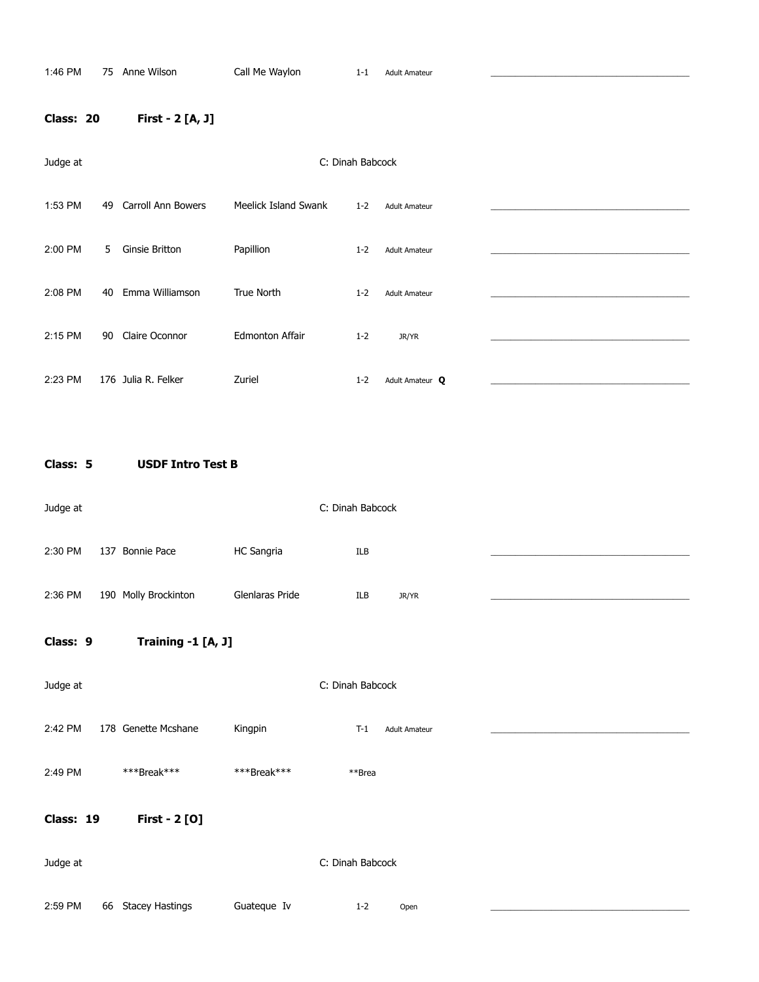# **Class: 20 First - 2 [A, J]**

| Judge at |    |                           |                        |         |                      |  |
|----------|----|---------------------------|------------------------|---------|----------------------|--|
| 1:53 PM  | 49 | <b>Carroll Ann Bowers</b> | Meelick Island Swank   | $1 - 2$ | <b>Adult Amateur</b> |  |
| 2:00 PM  | 5  | Ginsie Britton            | Papillion              | $1 - 2$ | <b>Adult Amateur</b> |  |
| 2:08 PM  | 40 | Emma Williamson           | True North             | $1 - 2$ | <b>Adult Amateur</b> |  |
| 2:15 PM  | 90 | Claire Oconnor            | <b>Edmonton Affair</b> | $1 - 2$ | JR/YR                |  |
| 2:23 PM  |    | 176 Julia R. Felker       | Zuriel                 | $1 - 2$ | Adult Amateur Q      |  |

**Class: 5 USDF Intro Test B** 

| Judge at |                      |                   | C: Dinah Babcock |       |  |
|----------|----------------------|-------------------|------------------|-------|--|
| 2:30 PM  | 137 Bonnie Pace      | <b>HC Sangria</b> | ILB              |       |  |
|          |                      |                   |                  |       |  |
| 2:36 PM  | 190 Molly Brockinton | Glenlaras Pride   | ILB              | JR/YR |  |

# **Class: 9 Training -1 [A, J]**

| Judge at  |    |                        |             | C: Dinah Babcock |                      |  |
|-----------|----|------------------------|-------------|------------------|----------------------|--|
| 2:42 PM   |    | 178 Genette Mcshane    | Kingpin     | $T-1$            | <b>Adult Amateur</b> |  |
| 2:49 PM   |    | ***Break***            | ***Break*** | **Brea           |                      |  |
| Class: 19 |    | First - 2 [0]          |             |                  |                      |  |
| Judge at  |    |                        |             | C: Dinah Babcock |                      |  |
| 2:59 PM   | 66 | <b>Stacey Hastings</b> | Guateque Iv | $1 - 2$          | Open                 |  |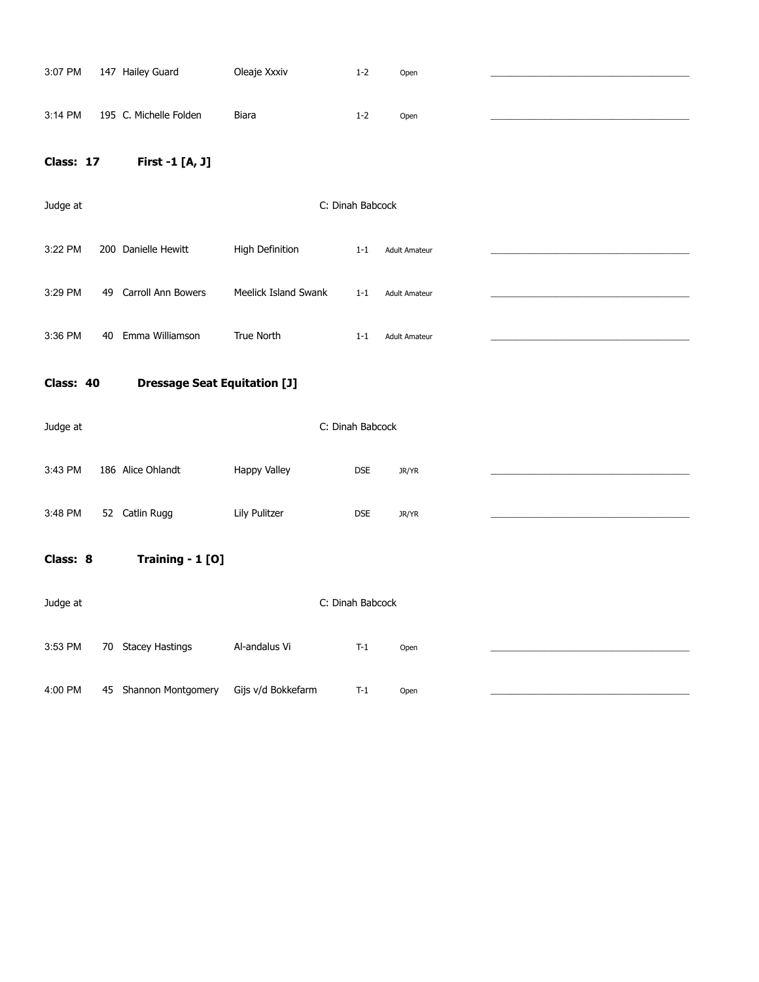| 3:07 PM   |    | 147 Hailey Guard                    | Oleaje Xxxiv         | $1 - 2$          | Open                 |  |
|-----------|----|-------------------------------------|----------------------|------------------|----------------------|--|
| 3:14 PM   |    | 195 C. Michelle Folden              | Biara                | $1 - 2$          | Open                 |  |
| Class: 17 |    | First -1 [A, J]                     |                      |                  |                      |  |
| Judge at  |    |                                     |                      | C: Dinah Babcock |                      |  |
| 3:22 PM   |    | 200 Danielle Hewitt                 | High Definition      | $1 - 1$          | <b>Adult Amateur</b> |  |
| 3:29 PM   |    | 49 Carroll Ann Bowers               | Meelick Island Swank | $1 - 1$          | <b>Adult Amateur</b> |  |
| 3:36 PM   | 40 | Emma Williamson                     | True North           | $1 - 1$          | <b>Adult Amateur</b> |  |
| Class: 40 |    | <b>Dressage Seat Equitation [J]</b> |                      |                  |                      |  |
| Judge at  |    |                                     |                      | C: Dinah Babcock |                      |  |
| 3:43 PM   |    | 186 Alice Ohlandt                   | Happy Valley         | <b>DSE</b>       | JR/YR                |  |
| 3:48 PM   |    | 52 Catlin Rugg                      | Lily Pulitzer        | <b>DSE</b>       | JR/YR                |  |
| Class: 8  |    | Training - 1 [O]                    |                      |                  |                      |  |
|           |    |                                     |                      |                  |                      |  |
| Judge at  |    |                                     |                      | C: Dinah Babcock |                      |  |
| 3:53 PM   |    | 70 Stacey Hastings                  | Al-andalus Vi        | $T-1$            | Open                 |  |
| 4:00 PM   |    | 45 Shannon Montgomery               | Gijs v/d Bokkefarm   | $T-1$            | Open                 |  |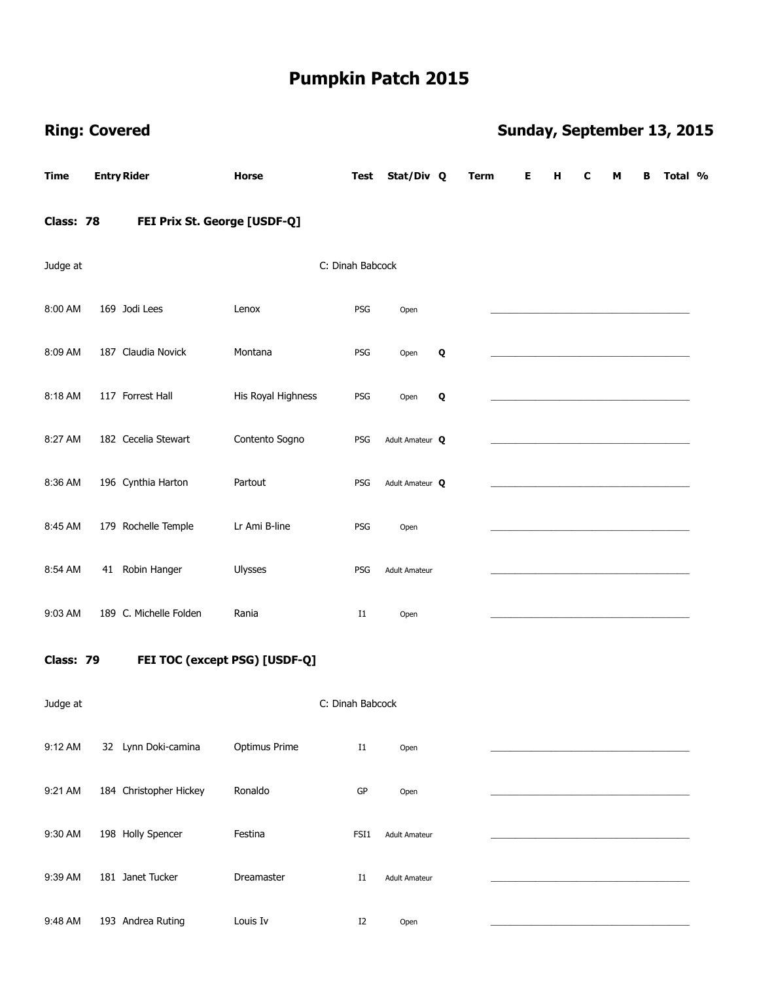|             | <b>Ring: Covered</b>         |                               |                  |                      |             | Sunday, September 13, 2015 |   |   |   |   |         |  |
|-------------|------------------------------|-------------------------------|------------------|----------------------|-------------|----------------------------|---|---|---|---|---------|--|
| <b>Time</b> | <b>Entry Rider</b>           | <b>Horse</b>                  | <b>Test</b>      | Stat/Div Q           | <b>Term</b> | Е                          | Н | C | м | в | Total % |  |
| Class: 78   | FEI Prix St. George [USDF-Q] |                               |                  |                      |             |                            |   |   |   |   |         |  |
| Judge at    |                              |                               | C: Dinah Babcock |                      |             |                            |   |   |   |   |         |  |
| 8:00 AM     | 169 Jodi Lees                | Lenox                         | PSG              | Open                 |             |                            |   |   |   |   |         |  |
| 8:09 AM     | 187 Claudia Novick           | Montana                       | PSG              | Open                 | Q           |                            |   |   |   |   |         |  |
| 8:18 AM     | 117 Forrest Hall             | His Royal Highness            | PSG              | Open                 | Q           |                            |   |   |   |   |         |  |
| 8:27 AM     | 182 Cecelia Stewart          | Contento Sogno                | PSG              | Adult Amateur Q      |             |                            |   |   |   |   |         |  |
| 8:36 AM     | 196 Cynthia Harton           | Partout                       | PSG              | Adult Amateur Q      |             |                            |   |   |   |   |         |  |
| 8:45 AM     | 179 Rochelle Temple          | Lr Ami B-line                 | PSG              | Open                 |             |                            |   |   |   |   |         |  |
| 8:54 AM     | 41 Robin Hanger              | Ulysses                       | PSG              | <b>Adult Amateur</b> |             |                            |   |   |   |   |         |  |
| 9:03 AM     | 189 C. Michelle Folden       | Rania                         | $_{\rm I1}$      | Open                 |             |                            |   |   |   |   |         |  |
| Class: 79   |                              | FEI TOC (except PSG) [USDF-Q] |                  |                      |             |                            |   |   |   |   |         |  |
| Judge at    |                              |                               | C: Dinah Babcock |                      |             |                            |   |   |   |   |         |  |
| 9:12 AM     | 32 Lynn Doki-camina          | Optimus Prime                 | $_{\rm I1}$      | Open                 |             |                            |   |   |   |   |         |  |
| 9:21 AM     | 184 Christopher Hickey       | Ronaldo                       | GP               | Open                 |             |                            |   |   |   |   |         |  |
| 9:30 AM     | 198 Holly Spencer            | Festina                       | FSI1             | <b>Adult Amateur</b> |             |                            |   |   |   |   |         |  |
| 9:39 AM     | 181 Janet Tucker             | Dreamaster                    | $_{\rm I1}$      | <b>Adult Amateur</b> |             |                            |   |   |   |   |         |  |
| 9:48 AM     | 193 Andrea Ruting            | Louis Iv                      | I2               | Open                 |             |                            |   |   |   |   |         |  |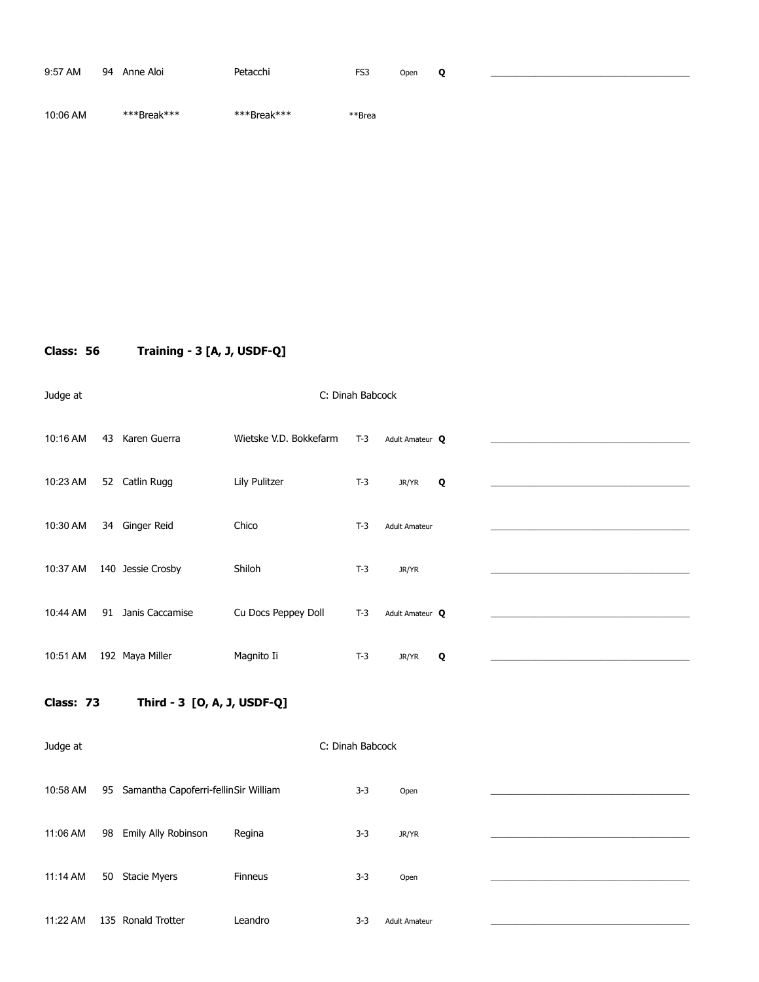| 9:57 AM  | 94 | Anne Aloi   | Petacchi    | FS3    | Open | o |  |
|----------|----|-------------|-------------|--------|------|---|--|
| 10:06 AM |    | ***Break*** | ***Break*** | **Brea |      |   |  |

**Class: 56 Training - 3 [A, J, USDF-Q]** 

Judge at C: Dinah Babcock

10:16 AM 43 Karen Guerra Wietske V.D. Bokkefarm T-3 Adult Amateur **Q** \_\_\_\_\_\_\_\_\_\_\_\_\_\_\_\_\_\_\_\_\_\_\_\_\_\_\_\_\_\_\_\_\_\_\_\_\_\_\_\_\_\_\_\_\_\_\_\_\_ 10:23 AM 52 Catlin Rugg Lily Pulitzer T-3 JR/YR **Q** \_\_\_\_\_\_\_\_\_\_\_\_\_\_\_\_\_\_\_\_\_\_\_\_\_\_\_\_\_\_\_\_\_\_\_\_\_\_\_\_\_\_\_\_\_\_\_\_\_ 10:30 AM 34 Ginger Reid Chico Chico T-3 Adult Amateur 10:37 AM 140 Jessie Crosby Shiloh T-3 JR/YR 10:44 AM 91 Janis Caccamise Cu Docs Peppey Doll T-3 Adult Amateur **Q** \_\_\_\_\_\_\_\_\_\_\_\_\_\_\_\_\_\_\_\_\_\_\_\_\_\_\_\_\_\_\_\_\_\_\_\_\_\_\_\_\_\_\_\_\_\_\_\_\_ 10:51 AM 192 Maya Miller Magnito Ii T-3 JR/YR **Q** \_\_\_\_\_\_\_\_\_\_\_\_\_\_\_\_\_\_\_\_\_\_\_\_\_\_\_\_\_\_\_\_\_\_\_\_\_\_\_\_\_\_\_\_\_\_\_\_\_

**Class: 73 Third - 3 [O, A, J, USDF-Q]** 

Judge at C: Dinah Babcock 10:58 AM 95 Samantha Capoferri-fellinSir William 3-3 Open 11:06 AM 98 Emily Ally Robinson Regina 13-3 JR/YR 11:14 AM 50 Stacie Myers Finneus 3-3 Open 11:22 AM 135 Ronald Trotter Leandro 13-3 Adult Amateur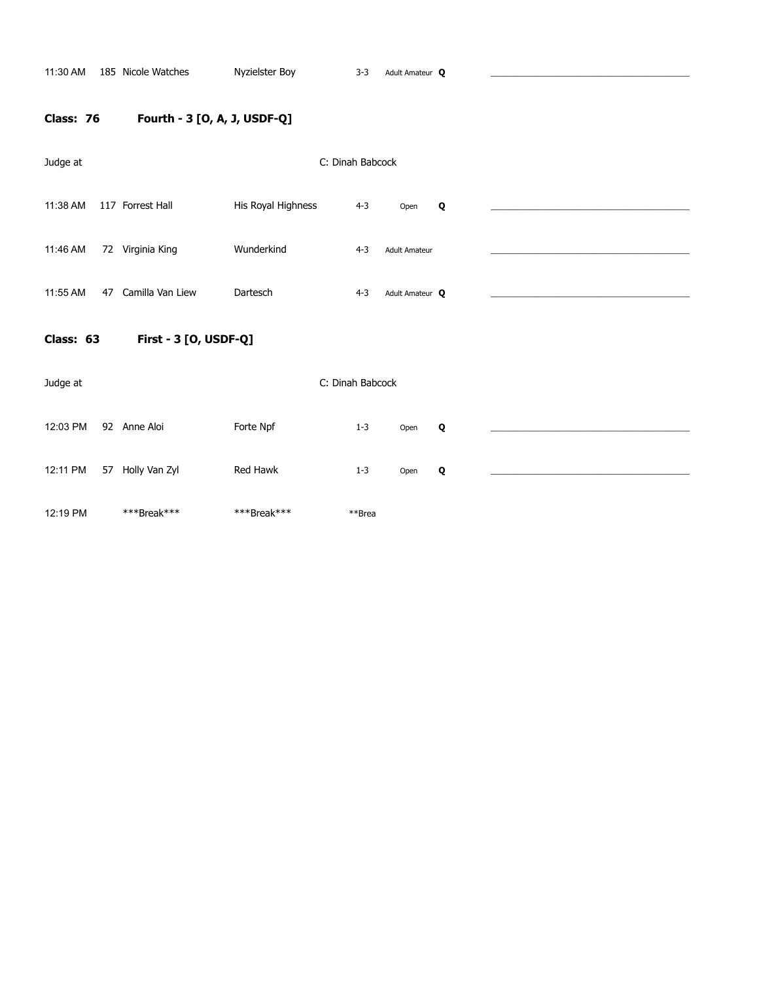# **Class: 76 Fourth - 3 [O, A, J, USDF-Q]**

| Judge at                           |    |                  | C: Dinah Babcock   |                  |                      |   |  |  |  |
|------------------------------------|----|------------------|--------------------|------------------|----------------------|---|--|--|--|
| 11:38 AM                           |    | 117 Forrest Hall | His Royal Highness | $4 - 3$          | Open                 | Q |  |  |  |
| 11:46 AM                           |    | 72 Virginia King | Wunderkind         | $4 - 3$          | <b>Adult Amateur</b> |   |  |  |  |
| 11:55 AM                           | 47 | Camilla Van Liew | Dartesch           | $4 - 3$          | Adult Amateur Q      |   |  |  |  |
| First - 3 [O, USDF-Q]<br>Class: 63 |    |                  |                    |                  |                      |   |  |  |  |
| Judge at                           |    |                  |                    | C: Dinah Babcock |                      |   |  |  |  |
| 12:03 PM                           |    | 92 Anne Aloi     | Forte Npf          | $1 - 3$          | Open                 | Q |  |  |  |
| 12:11 PM                           |    | 57 Holly Van Zyl | Red Hawk           | $1 - 3$          | Open                 | Q |  |  |  |
| 12:19 PM                           |    | ***Break***      | ***Break***        | **Brea           |                      |   |  |  |  |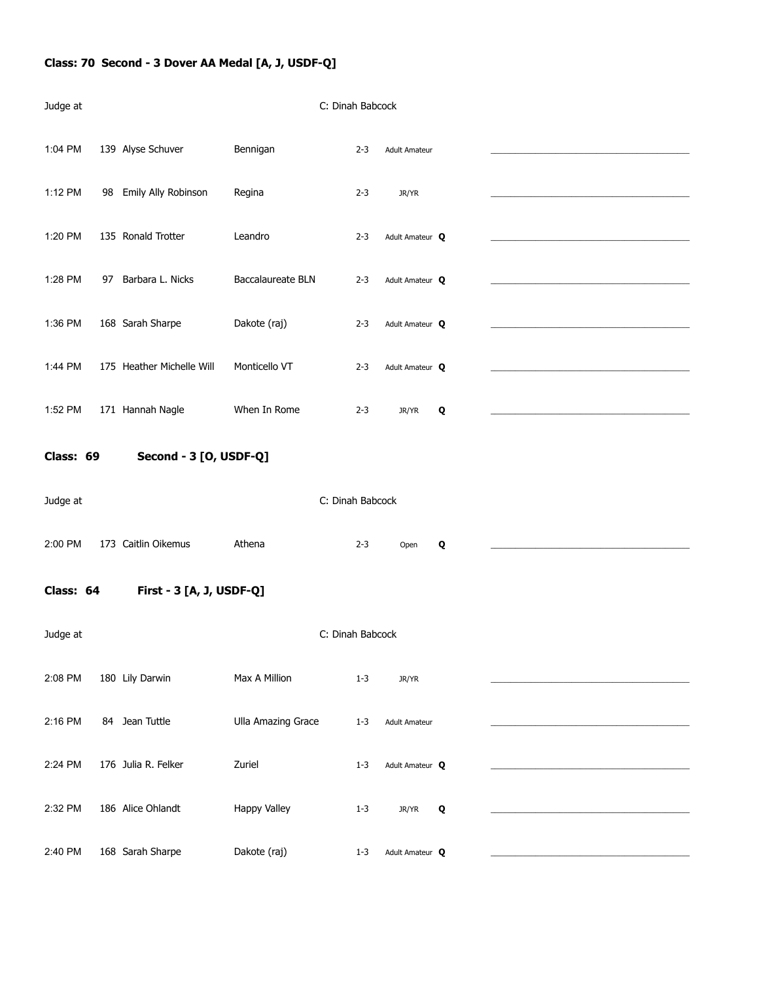# **Class: 70 Second - 3 Dover AA Medal [A, J, USDF-Q]**

| Judge at  |                           |                           | C: Dinah Babcock |                      |   |  |
|-----------|---------------------------|---------------------------|------------------|----------------------|---|--|
| 1:04 PM   | 139 Alyse Schuver         | Bennigan                  | $2 - 3$          | <b>Adult Amateur</b> |   |  |
| 1:12 PM   | 98 Emily Ally Robinson    | Regina                    | $2 - 3$          | JR/YR                |   |  |
| 1:20 PM   | 135 Ronald Trotter        | Leandro                   | $2 - 3$          | Adult Amateur Q      |   |  |
| 1:28 PM   | 97 Barbara L. Nicks       | Baccalaureate BLN         | $2 - 3$          | Adult Amateur Q      |   |  |
| 1:36 PM   | 168 Sarah Sharpe          | Dakote (raj)              | $2 - 3$          | Adult Amateur Q      |   |  |
| 1:44 PM   | 175 Heather Michelle Will | Monticello VT             | $2 - 3$          | Adult Amateur Q      |   |  |
| 1:52 PM   | 171 Hannah Nagle          | When In Rome              | $2 - 3$          | JR/YR                | Q |  |
| Class: 69 | Second - 3 [O, USDF-Q]    |                           |                  |                      |   |  |
| Judge at  |                           |                           | C: Dinah Babcock |                      |   |  |
| 2:00 PM   | 173 Caitlin Oikemus       | Athena                    | $2 - 3$          | Open                 | Q |  |
| Class: 64 | First - 3 [A, J, USDF-Q]  |                           |                  |                      |   |  |
| Judge at  |                           |                           | C: Dinah Babcock |                      |   |  |
| 2:08 PM   | 180 Lily Darwin           | Max A Million             | $1 - 3$          | JR/YR                |   |  |
| 2:16 PM   | 84 Jean Tuttle            | <b>Ulla Amazing Grace</b> | $1 - 3$          | <b>Adult Amateur</b> |   |  |
| 2:24 PM   | 176 Julia R. Felker       | Zuriel                    | $1 - 3$          | Adult Amateur Q      |   |  |
| 2:32 PM   | 186 Alice Ohlandt         | Happy Valley              | $1 - 3$          | JR/YR                | Q |  |
| 2:40 PM   | 168 Sarah Sharpe          | Dakote (raj)              | $1 - 3$          | Adult Amateur Q      |   |  |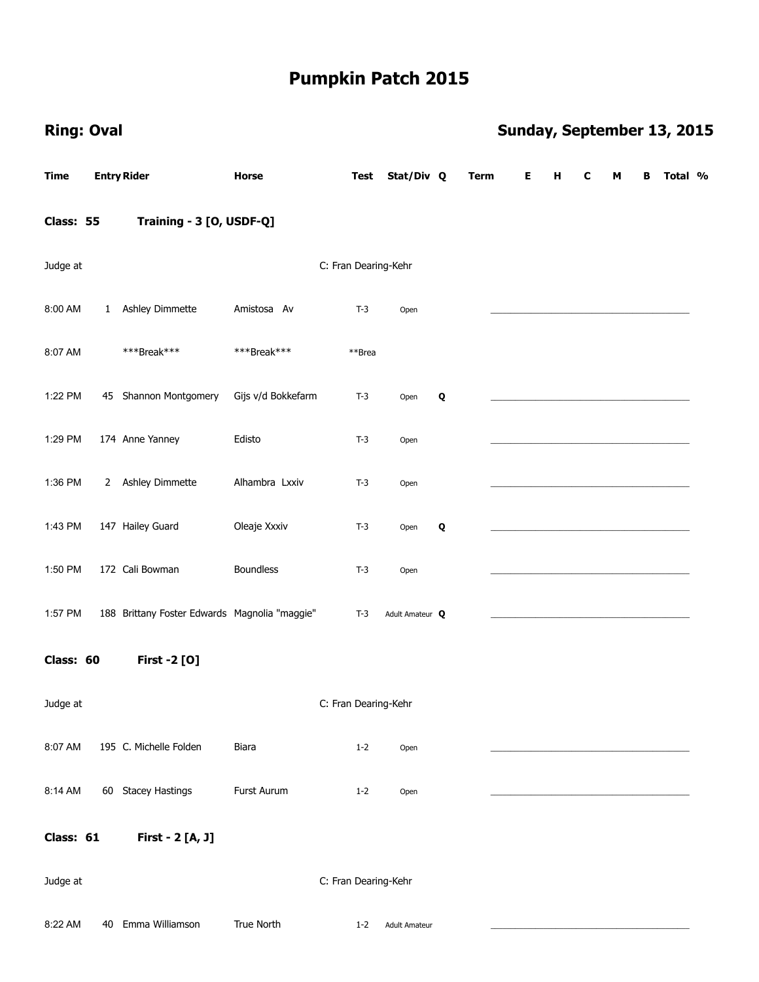| <b>Ring: Oval</b> |              |                                               |                    |                      |                      |   |             |   |   |   |   |   | Sunday, September 13, 2015 |  |
|-------------------|--------------|-----------------------------------------------|--------------------|----------------------|----------------------|---|-------------|---|---|---|---|---|----------------------------|--|
| <b>Time</b>       |              | <b>Entry Rider</b>                            | Horse              | Test                 | Stat/Div Q           |   | <b>Term</b> | Е | Н | C | М | В | Total %                    |  |
| Class: 55         |              | Training - 3 [O, USDF-Q]                      |                    |                      |                      |   |             |   |   |   |   |   |                            |  |
| Judge at          |              |                                               |                    | C: Fran Dearing-Kehr |                      |   |             |   |   |   |   |   |                            |  |
| 8:00 AM           | $\mathbf{1}$ | Ashley Dimmette                               | Amistosa Av        | $T-3$                | Open                 |   |             |   |   |   |   |   |                            |  |
| 8:07 AM           |              | ***Break***                                   | ***Break***        | **Brea               |                      |   |             |   |   |   |   |   |                            |  |
| 1:22 PM           |              | 45 Shannon Montgomery                         | Gijs v/d Bokkefarm | $T-3$                | Open                 | Q |             |   |   |   |   |   |                            |  |
| 1:29 PM           |              | 174 Anne Yanney                               | Edisto             | $T-3$                | Open                 |   |             |   |   |   |   |   |                            |  |
| 1:36 PM           |              | 2 Ashley Dimmette                             | Alhambra Lxxiv     | $T-3$                | Open                 |   |             |   |   |   |   |   |                            |  |
| 1:43 PM           |              | 147 Hailey Guard                              | Oleaje Xxxiv       | $T-3$                | Open                 | Q |             |   |   |   |   |   |                            |  |
| 1:50 PM           |              | 172 Cali Bowman                               | <b>Boundless</b>   | $T-3$                | Open                 |   |             |   |   |   |   |   |                            |  |
| 1:57 PM           |              | 188 Brittany Foster Edwards Magnolia "maggie" |                    | $T-3$                | Adult Amateur Q      |   |             |   |   |   |   |   |                            |  |
| Class: 60         |              | <b>First -2 [O]</b>                           |                    |                      |                      |   |             |   |   |   |   |   |                            |  |
| Judge at          |              |                                               |                    | C: Fran Dearing-Kehr |                      |   |             |   |   |   |   |   |                            |  |
| 8:07 AM           |              | 195 C. Michelle Folden                        | Biara              | $1 - 2$              | Open                 |   |             |   |   |   |   |   |                            |  |
| 8:14 AM           |              | 60 Stacey Hastings                            | Furst Aurum        | $1 - 2$              | Open                 |   |             |   |   |   |   |   |                            |  |
| Class: 61         |              | First - 2 [A, J]                              |                    |                      |                      |   |             |   |   |   |   |   |                            |  |
| Judge at          |              |                                               |                    | C: Fran Dearing-Kehr |                      |   |             |   |   |   |   |   |                            |  |
| 8:22 AM           |              | 40 Emma Williamson                            | True North         | $1 - 2$              | <b>Adult Amateur</b> |   |             |   |   |   |   |   |                            |  |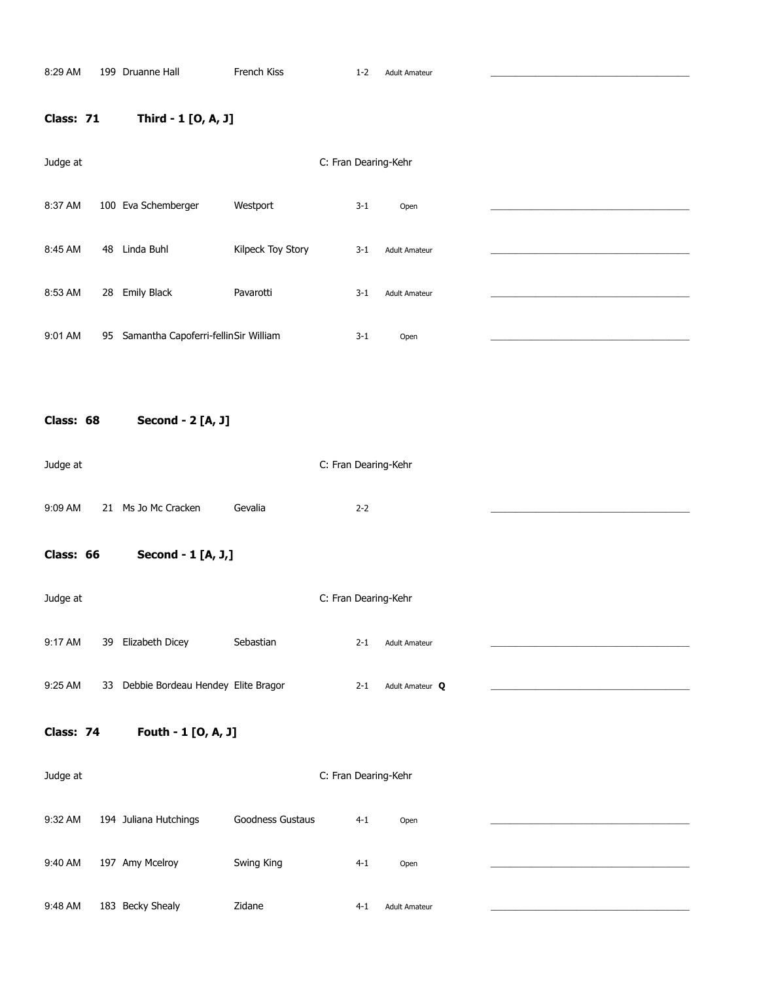### **Class: 71 Third - 1 [O, A, J]**

| Judge at  |    |                                      |                   | C: Fran Dearing-Kehr |                      |  |
|-----------|----|--------------------------------------|-------------------|----------------------|----------------------|--|
| 8:37 AM   |    | 100 Eva Schemberger                  | Westport          | $3-1$                | Open                 |  |
| 8:45 AM   | 48 | Linda Buhl                           | Kilpeck Toy Story | $3 - 1$              | <b>Adult Amateur</b> |  |
| 8:53 AM   | 28 | <b>Emily Black</b>                   | Pavarotti         | $3 - 1$              | <b>Adult Amateur</b> |  |
| 9:01 AM   | 95 | Samantha Capoferri-fellinSir William |                   | $3 - 1$              | Open                 |  |
|           |    |                                      |                   |                      |                      |  |
| Class: 68 |    | Second - 2 [A, J]                    |                   |                      |                      |  |
| Judge at  |    |                                      |                   | C: Fran Dearing-Kehr |                      |  |

9:09 AM 21 Ms Jo Mc Cracken Gevalia 2-2

**Class: 66 Second - 1 [A, J,]** 

| Judge at |    |                                    |           |         | C: Fran Dearing-Kehr |  |
|----------|----|------------------------------------|-----------|---------|----------------------|--|
| 9:17 AM  | 39 | Elizabeth Dicey                    | Sebastian | $2 - 1$ | <b>Adult Amateur</b> |  |
| 9:25 AM  | 33 | Debbie Bordeau Hendey Elite Bragor |           | $2 - 1$ | Adult Amateur Q      |  |

**Class: 74 Fouth - 1 [O, A, J]** 

Judge at C: Fran Dearing-Kehr 9:32 AM 194 Juliana Hutchings Goodness Gustaus 4-1 Open 9:40 AM 197 Amy Mcelroy Swing King 50 4-1 Open 9:48 AM 183 Becky Shealy 2idane 2014 2014 2014 Adult Amateur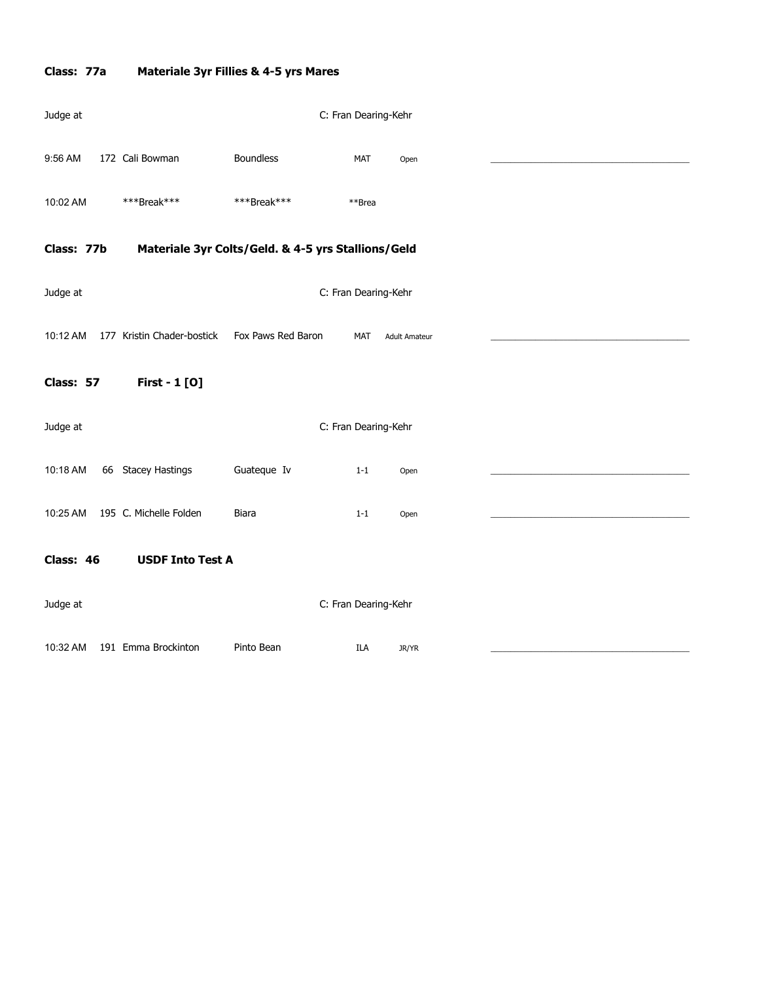# **Class: 77a Materiale 3yr Fillies & 4-5 yrs Mares**

| Judge at   |                                                    |                    | C: Fran Dearing-Kehr |            |                      |  |
|------------|----------------------------------------------------|--------------------|----------------------|------------|----------------------|--|
| 9:56 AM    | 172 Cali Bowman                                    | <b>Boundless</b>   |                      | <b>MAT</b> | Open                 |  |
| 10:02 AM   | ***Break***                                        | ***Break***        |                      | **Brea     |                      |  |
| Class: 77b | Materiale 3yr Colts/Geld. & 4-5 yrs Stallions/Geld |                    |                      |            |                      |  |
| Judge at   |                                                    |                    | C: Fran Dearing-Kehr |            |                      |  |
| 10:12 AM   | 177 Kristin Chader-bostick                         | Fox Paws Red Baron |                      | <b>MAT</b> | <b>Adult Amateur</b> |  |
| Class: 57  | First - 1 [0]                                      |                    |                      |            |                      |  |
| Judge at   |                                                    |                    | C: Fran Dearing-Kehr |            |                      |  |
| 10:18 AM   | 66 Stacey Hastings                                 | Guateque Iv        |                      | $1 - 1$    | Open                 |  |
| 10:25 AM   | 195 C. Michelle Folden                             | Biara              |                      | $1 - 1$    | Open                 |  |
| Class: 46  | <b>USDF Into Test A</b>                            |                    |                      |            |                      |  |
| Judge at   |                                                    |                    | C: Fran Dearing-Kehr |            |                      |  |
| 10:32 AM   | 191 Emma Brockinton                                | Pinto Bean         |                      | ILA        | JR/YR                |  |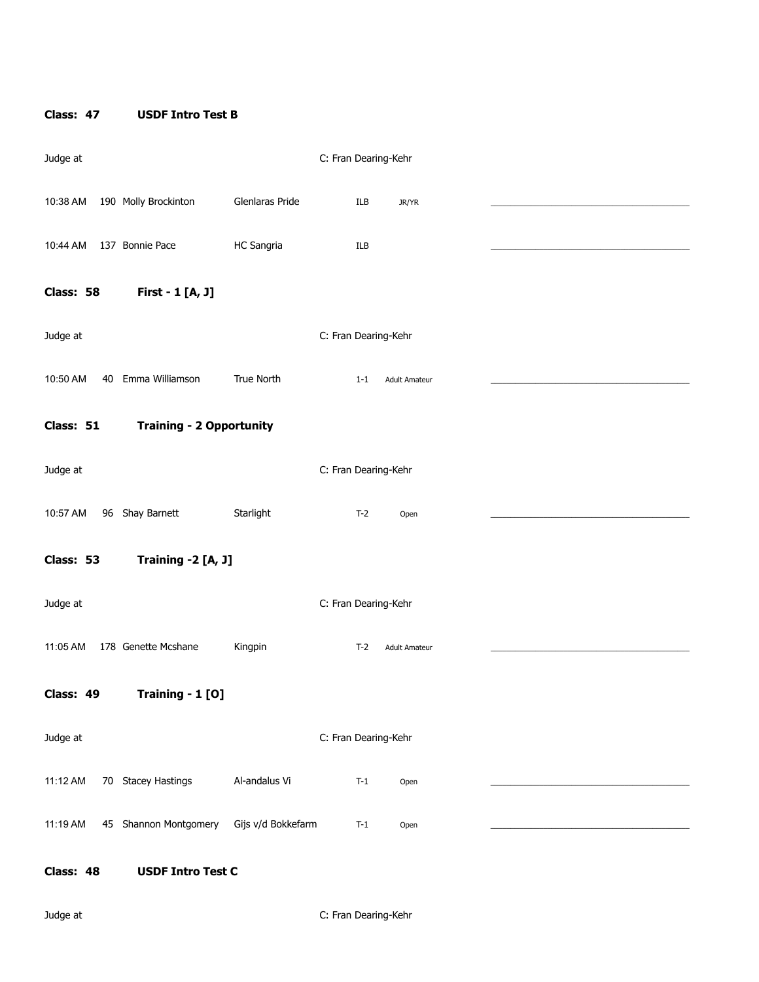### **Class: 47 USDF Intro Test B**

| Judge at  |                                 |                    | C: Fran Dearing-Kehr |         |                      |  |
|-----------|---------------------------------|--------------------|----------------------|---------|----------------------|--|
| 10:38 AM  | 190 Molly Brockinton            | Glenlaras Pride    |                      | ILB     | JR/YR                |  |
| 10:44 AM  | 137 Bonnie Pace                 | HC Sangria         |                      | ILB     |                      |  |
| Class: 58 | First - 1 [A, J]                |                    |                      |         |                      |  |
| Judge at  |                                 |                    | C: Fran Dearing-Kehr |         |                      |  |
| 10:50 AM  | 40 Emma Williamson              | True North         |                      | $1 - 1$ | <b>Adult Amateur</b> |  |
| Class: 51 | <b>Training - 2 Opportunity</b> |                    |                      |         |                      |  |
| Judge at  |                                 |                    | C: Fran Dearing-Kehr |         |                      |  |
| 10:57 AM  | 96 Shay Barnett                 | Starlight          |                      | $T-2$   | Open                 |  |
| Class: 53 | Training -2 [A, J]              |                    |                      |         |                      |  |
| Judge at  |                                 |                    | C: Fran Dearing-Kehr |         |                      |  |
| 11:05 AM  | 178 Genette Mcshane             | Kingpin            |                      | $T-2$   | <b>Adult Amateur</b> |  |
| Class: 49 | Training - 1 [O]                |                    |                      |         |                      |  |
| Judge at  |                                 |                    | C: Fran Dearing-Kehr |         |                      |  |
| 11:12 AM  | 70 Stacey Hastings              | Al-andalus Vi      |                      | $T-1$   | Open                 |  |
| 11:19 AM  | 45 Shannon Montgomery           | Gijs v/d Bokkefarm |                      | $T-1$   | Open                 |  |
| Class: 48 | <b>USDF Intro Test C</b>        |                    |                      |         |                      |  |